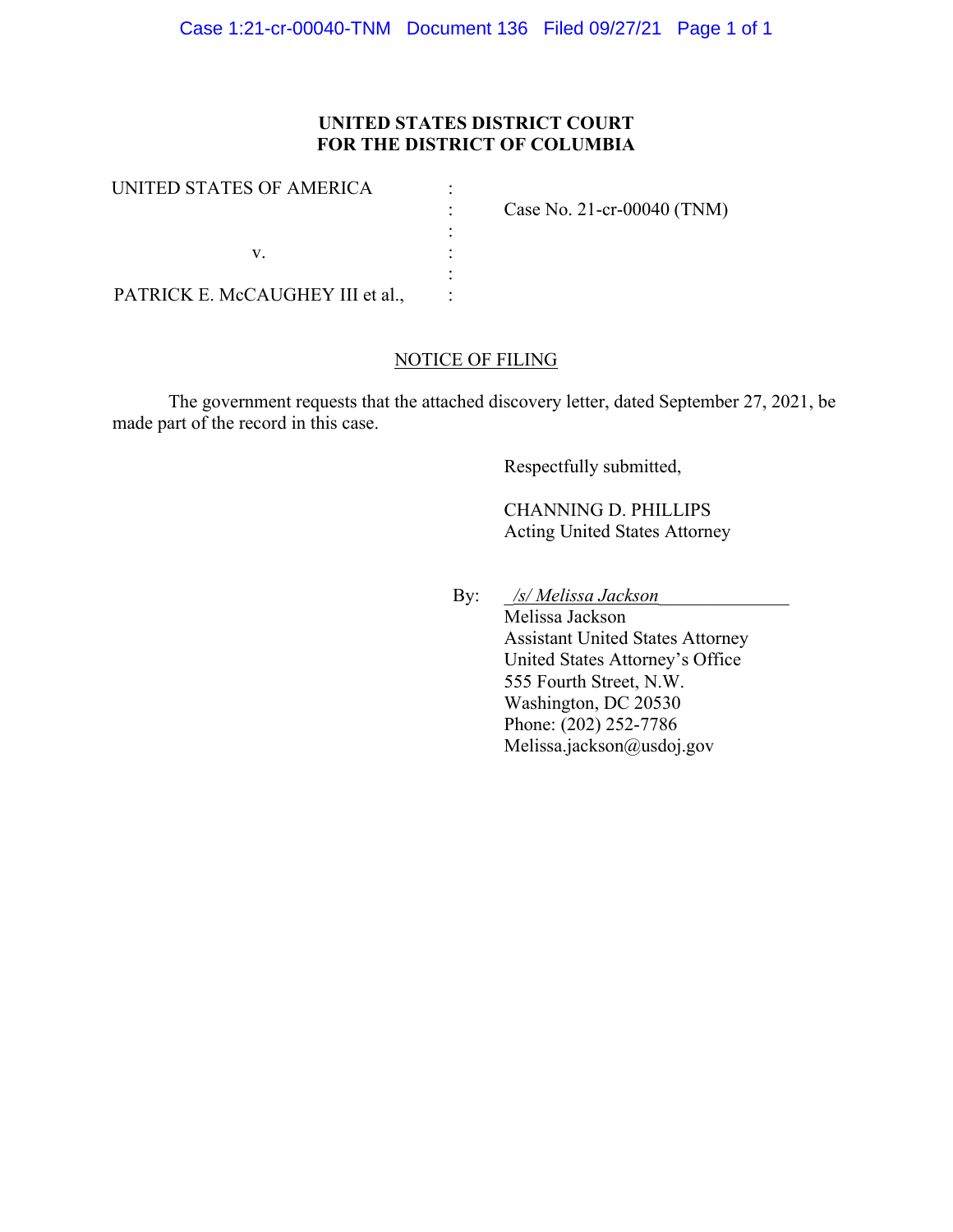## **UNITED STATES DISTRICT COURT FOR THE DISTRICT OF COLUMBIA**

| UNITED STATES OF AMERICA         | Case No. 21-cr-00040 $(TNM)$ |
|----------------------------------|------------------------------|
|                                  |                              |
| PATRICK E. McCAUGHEY III et al., |                              |

## NOTICE OF FILING

The government requests that the attached discovery letter, dated September 27, 2021, be made part of the record in this case.

Respectfully submitted,

CHANNING D. PHILLIPS Acting United States Attorney

By: \_*/s/ Melissa Jackson*\_\_\_\_\_\_\_\_\_\_\_\_\_\_

Melissa Jackson Assistant United States Attorney United States Attorney's Office 555 Fourth Street, N.W. Washington, DC 20530 Phone: (202) 252-7786 Melissa.jackson@usdoj.gov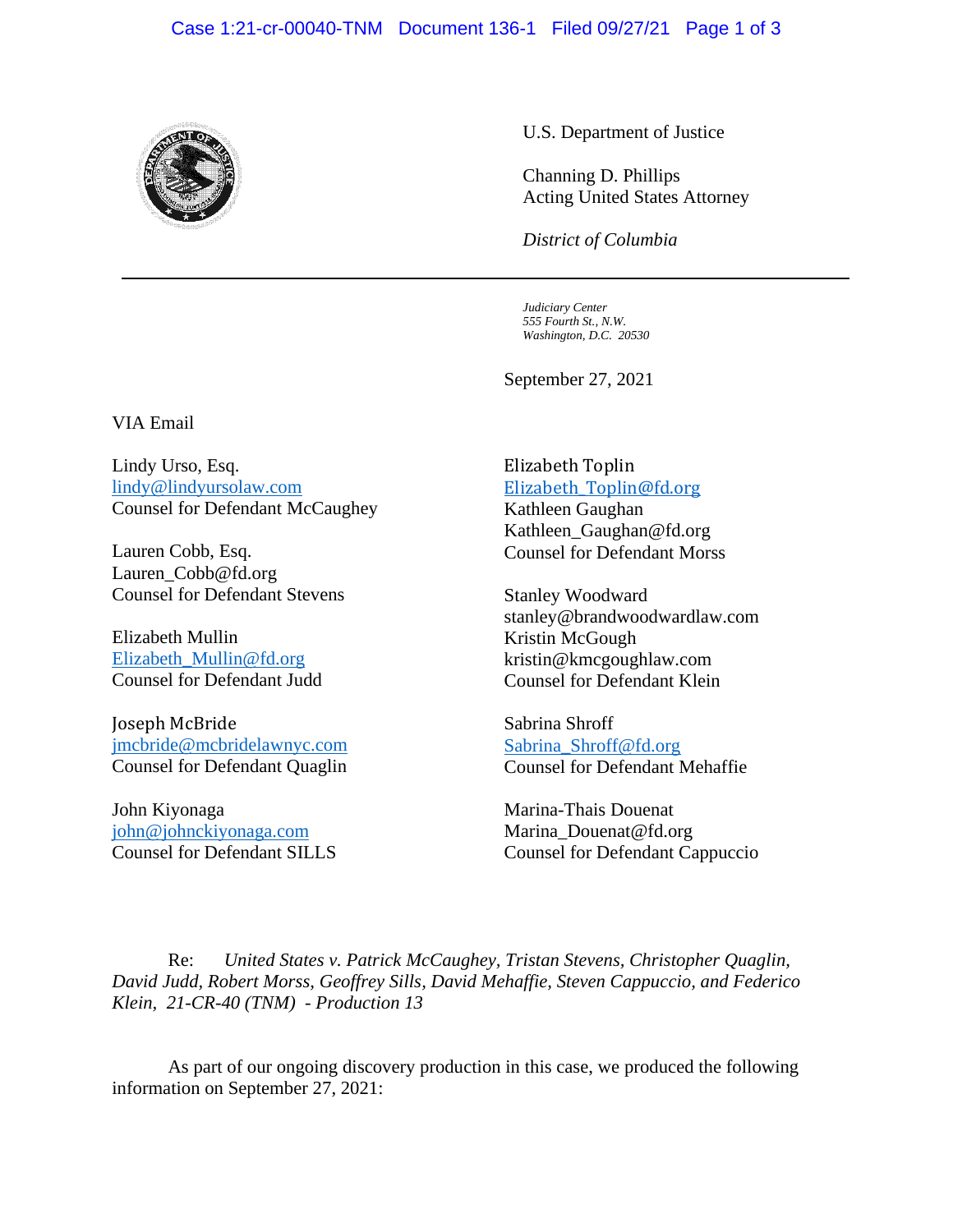## Case 1:21-cr-00040-TNM Document 136-1 Filed 09/27/21 Page 1 of 3



U.S. Department of Justice

Channing D. Phillips Acting United States Attorney

*District of Columbia*

*Judiciary Center 555 Fourth St., N.W. Washington, D.C. 20530*

September 27, 2021

VIA Email

Lindy Urso, Esq. lindy@lindyursolaw.com Counsel for Defendant McCaughey

Lauren Cobb, Esq. Lauren\_Cobb@fd.org Counsel for Defendant Stevens

Elizabeth Mullin Elizabeth\_Mullin@fd.org Counsel for Defendant Judd

Joseph McBride jmcbride@mcbridelawnyc.com Counsel for Defendant Quaglin

John Kiyonaga john@johnckiyonaga.com Counsel for Defendant SILLS

## Elizabeth Toplin Elizabeth\_Toplin@fd.org

Kathleen Gaughan Kathleen\_Gaughan@fd.org Counsel for Defendant Morss

Stanley Woodward stanley@brandwoodwardlaw.com Kristin McGough kristin@kmcgoughlaw.com Counsel for Defendant Klein

Sabrina Shroff Sabrina\_Shroff@fd.org Counsel for Defendant Mehaffie

Marina-Thais Douenat Marina Douenat@fd.org Counsel for Defendant Cappuccio

Re: *United States v. Patrick McCaughey, Tristan Stevens, Christopher Quaglin, David Judd, Robert Morss, Geoffrey Sills, David Mehaffie, Steven Cappuccio, and Federico Klein, 21-CR-40 (TNM) - Production 13*

As part of our ongoing discovery production in this case, we produced the following information on September 27, 2021: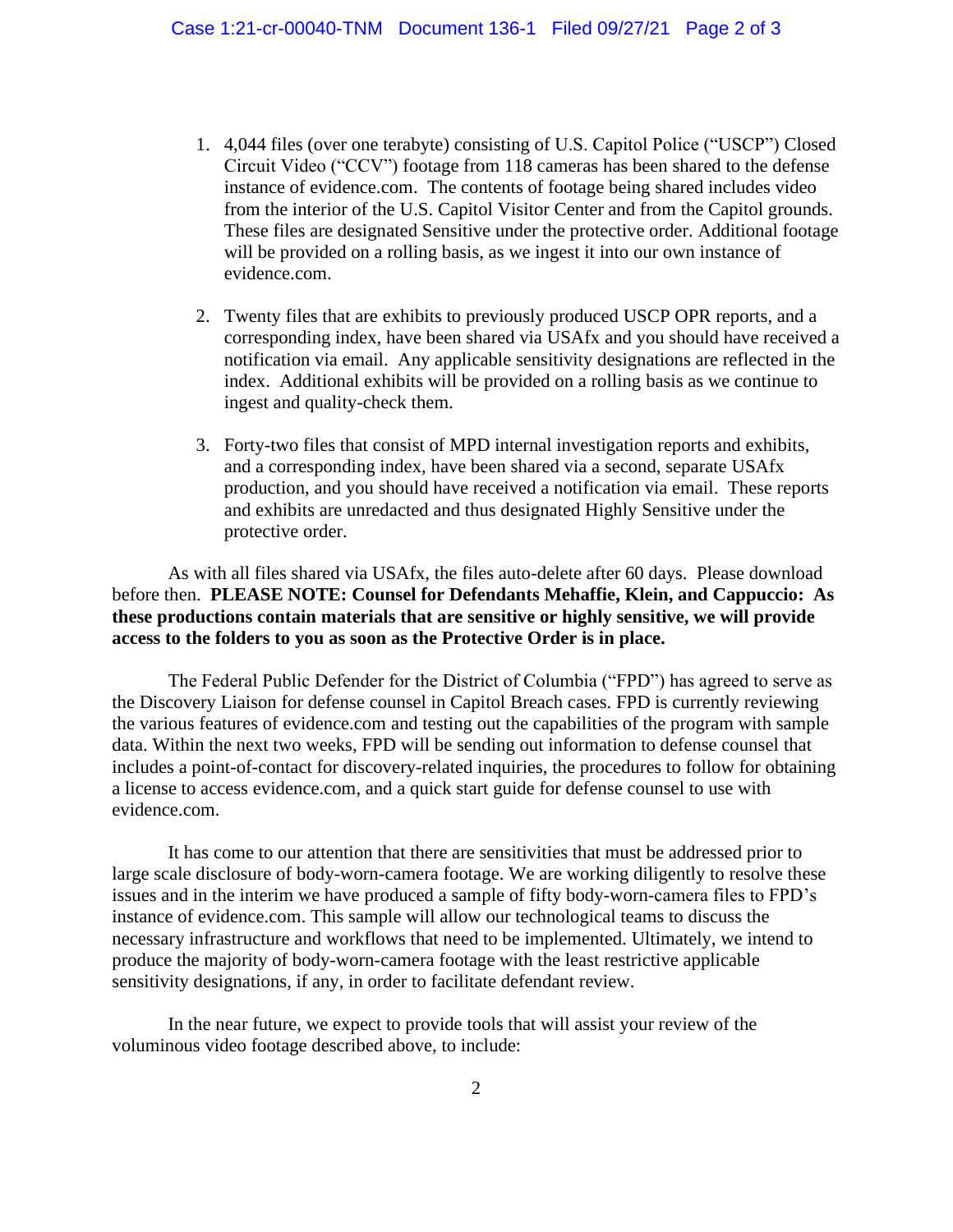- 1. 4,044 files (over one terabyte) consisting of U.S. Capitol Police ("USCP") Closed Circuit Video ("CCV") footage from 118 cameras has been shared to the defense instance of evidence.com. The contents of footage being shared includes video from the interior of the U.S. Capitol Visitor Center and from the Capitol grounds. These files are designated Sensitive under the protective order. Additional footage will be provided on a rolling basis, as we ingest it into our own instance of evidence.com.
- 2. Twenty files that are exhibits to previously produced USCP OPR reports, and a corresponding index, have been shared via USAfx and you should have received a notification via email. Any applicable sensitivity designations are reflected in the index. Additional exhibits will be provided on a rolling basis as we continue to ingest and quality-check them.
- 3. Forty-two files that consist of MPD internal investigation reports and exhibits, and a corresponding index, have been shared via a second, separate USAfx production, and you should have received a notification via email. These reports and exhibits are unredacted and thus designated Highly Sensitive under the protective order.

As with all files shared via USAfx, the files auto-delete after 60 days. Please download before then. **PLEASE NOTE: Counsel for Defendants Mehaffie, Klein, and Cappuccio: As these productions contain materials that are sensitive or highly sensitive, we will provide access to the folders to you as soon as the Protective Order is in place.** 

The Federal Public Defender for the District of Columbia ("FPD") has agreed to serve as the Discovery Liaison for defense counsel in Capitol Breach cases. FPD is currently reviewing the various features of evidence.com and testing out the capabilities of the program with sample data. Within the next two weeks, FPD will be sending out information to defense counsel that includes a point-of-contact for discovery-related inquiries, the procedures to follow for obtaining a license to access evidence.com, and a quick start guide for defense counsel to use with evidence.com.

It has come to our attention that there are sensitivities that must be addressed prior to large scale disclosure of body-worn-camera footage. We are working diligently to resolve these issues and in the interim we have produced a sample of fifty body-worn-camera files to FPD's instance of evidence.com. This sample will allow our technological teams to discuss the necessary infrastructure and workflows that need to be implemented. Ultimately, we intend to produce the majority of body-worn-camera footage with the least restrictive applicable sensitivity designations, if any, in order to facilitate defendant review.

In the near future, we expect to provide tools that will assist your review of the voluminous video footage described above, to include: